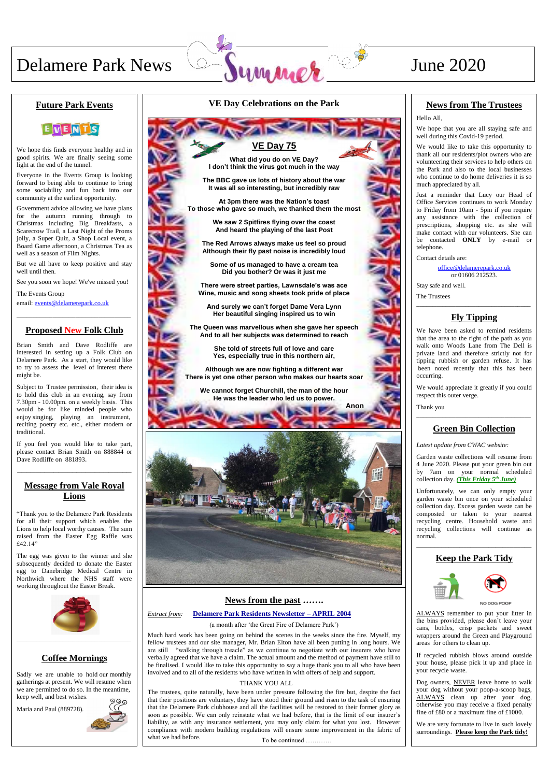# Delamere Park News Symmetre 3 June 2020

#### **News from the past …….**

#### *Extract from:* **Delamere Park Residents Newsletter – APRIL 2004 Extract from:**

(a month after 'the Great Fire of Delamere Park')

Much hard work has been going on behind the scenes in the weeks since the fire. Myself, my fellow trustees and our site manager, Mr. Brian Elton have all been putting in long hours. We are still "walking through treacle" as we continue to negotiate with our insurers who have verbally agreed that we have a claim. The actual amount and the method of payment have still to be finalised. I would like to take this opportunity to say a huge thank you to all who have been involved and to all of the residents who have written in with offers of help and support.

The trustees, quite naturally, have been under pressure following the fire but, despite the fact that their positions are voluntary, they have stood their ground and risen to the task of ensuring that the Delamere Park clubhouse and all the facilities will be restored to their former glory as soon as possible. We can only reinstate what we had before, that is the limit of our insurer's liability, as with any insurance settlement, you may only claim for what you lost. However compliance with modern building regulations will ensure some improvement in the fabric of what we had before.

#### **VE Day Celebrations on the Park**

#### **Future Park Events**



We hope this finds everyone healthy and in good spirits. We are finally seeing some light at the end of the tunnel.

Everyone in the Events Group is looking forward to being able to continue to bring some sociability and fun back into our community at the earliest opportunity.

Government advice allowing we have plans for the autumn running through to Christmas including Big Breakfasts, a Scarecrow Trail, a Last Night of the Proms jolly, a Super Quiz, a Shop Local event, a Board Game afternoon, a Christmas Tea as well as a season of Film Nights.

But we all have to keep positive and stay well until then.

See you soon we hope! We've missed you!

The Events Group email: [events@delamerepark.co.uk](mailto:events@delamerepark.co.uk)

\_\_\_\_\_\_\_\_\_\_\_\_\_\_\_\_\_\_\_\_\_\_\_\_\_\_\_\_\_\_\_\_\_\_\_

#### **Proposed New Folk Club**

Brian Smith and Dave Rodliffe are interested in setting up a Folk Club on Delamere Park. As a start, they would like to try to assess the level of interest there might be.

Subject to Trustee permission, their idea is to hold this club in an evening, say from 7.30pm - 10.00pm. on a weekly basis. This would be for like minded people who enjoy singing, playing an instrument, reciting poetry etc. etc., either modern or traditional.

If you feel you would like to take part, please contact Brian Smith on 888844 or Dave Rodliffe on 881893.

\_\_\_\_\_\_\_\_\_\_\_\_\_\_\_\_\_\_\_\_\_\_\_\_\_

#### **Message from Vale Royal Lions**

"Thank you to the Delamere Park Residents for all their support which enables the Lions to help local worthy causes. The sum raised from the Easter Egg Raffle was £42.14"

The egg was given to the winner and she subsequently decided to donate the Easter egg to Danebridge Medical Centre in Northwich where the NHS staff were working throughout the Easter Break.



### **Coffee Mornings**

Sadly we are unable to hold our monthly gatherings at present. We will resume when we are permitted to do so. In the meantime, keep well, and best wishes.

Maria and Paul (889728).



#### **News from The Trustees**

Hello All,

We hope that you are all staying safe and well during this Covid-19 period.

We would like to take this opportunity to thank all our residents/plot owners who are volunteering their services to help others on the Park and also to the local businesses who continue to do home deliveries it is so much appreciated by all.

Just a reminder that Lucy our Head of Office Services continues to work Monday to Friday from 10am - 5pm if you require any assistance with the collection of prescriptions, shopping etc. as she will make contact with our volunteers. She can be contacted **ONLY** by e-mail or telephone.

Contact details are:

[office@delamerepark.co.uk](mailto:office@delamerepark.co.uk) or 01606 212523.

Stay safe and well.

The Trustees

\_\_\_\_\_\_\_\_\_\_\_\_\_\_\_\_\_\_\_\_\_\_\_\_\_\_\_\_\_\_\_\_\_\_\_

#### **Fly Tipping**

We have been asked to remind residents that the area to the right of the path as you walk onto Woods Lane from The Dell is private land and therefore strictly not for tipping rubbish or garden refuse. It has been noted recently that this has been occurring.

We would appreciate it greatly if you could respect this outer verge.

Thank you \_\_\_\_\_\_\_\_\_\_\_\_\_\_\_\_\_\_\_\_\_\_\_\_\_\_\_\_\_\_\_\_\_\_\_

### **Green Bin Collection**

*Latest update from CWAC website:*

Garden waste collections will resume from 4 June 2020. Please put your green bin out by 7am on your normal scheduled collection day. *(This Friday 5th June)*

Unfortunately, we can only empty your garden waste bin once on your scheduled collection day. Excess garden waste can be composted or taken to your nearest recycling centre. Household waste and recycling collections will continue as normal.

\_\_\_\_\_\_\_\_\_\_\_\_\_\_\_\_\_\_\_\_\_\_\_\_\_\_\_\_\_\_\_\_



## **Keep the Park Tidy**

ALWAYS remember to put your litter in the bins provided, please don't leave your cans, bottles, crisp packets and sweet wrappers around the Green and Playground areas for others to clean up.

If recycled rubbish blows around outside your house, please pick it up and place in your recycle waste.

Dog owners, NEVER leave home to walk your dog without your poop-a-scoop bags, ALWAYS clean up after your dog, otherwise you may receive a fixed penalty fine of £80 or a maximum fine of £1000.

We are very fortunate to live in such lovely surroundings. **Please keep the Park tidy!** 

## **VE Day 75**

**What did you do on VE Day? I don't think the virus got much in the way**

**The BBC gave us lots of history about the war It was all so interesting, but incredibly raw**

**At 3pm there was the Nation's toast To those who gave so much, we thanked them the most**

> **We saw 2 Spitfires flying over the coast And heard the playing of the last Post**

**The Red Arrows always make us feel so proud Although their fly past noise is incredibly loud**

**Some of us managed to have a cream tea Did you bother? Or was it just me**

**There were street parties, Lawnsdale's was ace Wine, music and song sheets took pride of place**

**And surely we can't forget Dame Vera Lynn Her beautiful singing inspired us to win**

**The Queen was marvellous when she gave her speech And to all her subjects was determined to reach**

> **She told of streets full of love and care Yes, especially true in this northern air,**

**Although we are now fighting a different war There is yet one other person who makes our hearts soar**

**We cannot forget Churchill, the man of the hour He was the leader who led us to power.** 



To be continued …………

**Anon**

#### THANK YOU ALL